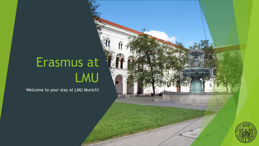# Erasmus at LMU

 $T$ 

Welcome to your stay at LMU Munich!

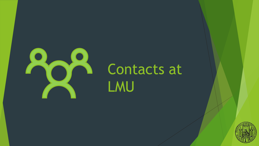

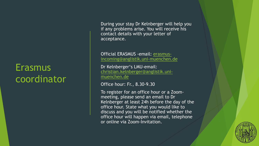# **Erasmus** coordinator

During your stay Dr Kelnberger will help you if any problems arise. You will receive his contact details with your letter of acceptance.

Official ERASMUS -email: erasmus[incoming@anglistik.uni-muenchen.de](mailto:erasmus-incoming@anglistik.uni-muenchen.de)

Dr Kelnberger's LMU-email: [christian.kelnberger@anglistik.uni](mailto:christian.kelnberger@anglistik.uni-muenchen.de)muenchen.de

Office hour: Fr., 8.30-9.30

To register for an office hour or a Zoommeeting, please send an email to Dr Kelnberger at least 24h before the day of the office hour. State what you would like to discuss and you will be notified whether the office hour will happen via email, telephone or online via Zoom-Invitation.

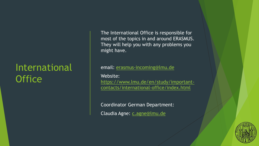# International **Office**

The International Office is responsible for most of the topics in and around ERASMUS. They will help you with any problems you might have.

#### email: [erasmus-incoming@lmu.de](mailto:erasmus-incoming@lmu.de)

Website: https://www.lmu.de/en/study/important[contacts/international-office/index.html](https://www.lmu.de/en/study/important-contacts/international-office/index.html)

Coordinator German Department: Claudia Agne: [c.agne@lmu.de](mailto:c.agne@lmu.de)

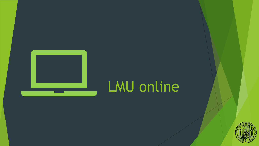

# LMU online

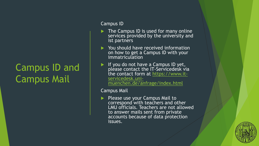# Campus ID and Campus Mail

#### Campus ID

- $\blacktriangleright$  The Campus ID is used for many online services provided by the university and ist partners
- ▶ You should have received information on how to get a Campus ID with your immatriculation
- If you do not have a Campus ID yet, please contact the IT-Servicedesk via the contact form at https://www.itservicedesk.uni[muenchen.de/anfrage/index.html](https://www.it-servicedesk.uni-muenchen.de/anfrage/index.html)

Campus Mail

Please use your Campus Mail to correspond with teachers and other LMU officials. Teachers are not allowed to answer mails sent from private accounts because of data protection issues.

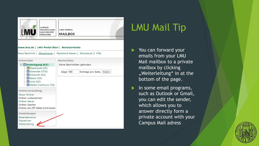

MAXIMILIANS-LMU-PORTAL **MAILBOX** 

#### www.lmu.de | LMU-Portal Start | Benutzerkonto





# LMU Mail Tip

- You can forward your emails from your LMU Mail mailbox to a private mailbox by clicking "Weiterleitung" in at the bottom of the page.
- In some email programs, such as Outlook or Gmail, you can edit the sender, which allows you to answer directly form a private account with your Campus Mail adress

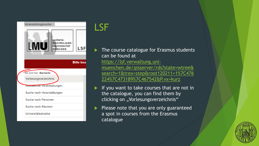

## LSF

 The course catalogue for Erasmus students can be found at

https://lsf.verwaltung.unimuenchen.de/qisserver/rds?state=wtree& [search=1&trex=step&root120211=1%7C476](https://lsf.verwaltung.uni-muenchen.de/qisserver/rds?state=wtree&search=1&trex=step&root120211=1%7C476224%7C473189%7C467542&P.vx=kurz) 224%7C473189%7C467542&P.vx=kurz

 If you want to take courses that are not in the catalogue, you can find them by clicking on "Vorlesungsverzeichnis"

 Please note that you are only guaranteed a spot in courses from the Erasmus catalogue

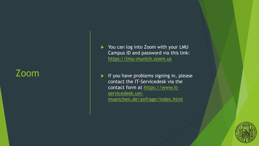## Zoom

- You can log into Zoom with your LMU Campus ID and password via this link: https://lmu [-munich.zoom.us](https://lmu-munich.zoom.us/)
- If you have problems signing in, please contact the IT -Servicedesk via the contact form at https://www.itservicedesk.uni [muenchen.de/anfrage/index.html](https://www.it-servicedesk.uni-muenchen.de/anfrage/index.html)

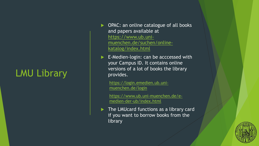# LMU Library

- ▶ OPAC: an online catalogue of all books and papers available at https://www.ub.uni[muenchen.de/suchen/online](https://www.ub.uni-muenchen.de/suchen/online-katalog/index.html)katalog/index.html
- E-Medien-login: can be acccessed with your Campus ID. It contains online versions of a lot of books the library provides.

[https://login.emedien.ub.uni](https://login.emedien.ub.uni-muenchen.de/login)muenchen.de/login

[https://www.ub.uni-muenchen.de/e](https://www.ub.uni-muenchen.de/e-medien-der-ub/index.html)medien-der-ub/index.html

The LMUcard functions as a library card if you want to borrow books from the library

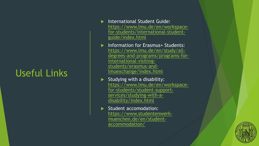# Useful Links

- **International Student Guide:** [https://www.lmu.de/en/workspace](https://www.lmu.de/en/workspace-for-students/international-student-guide/index.html) for -students/international -student guide/index.html
- **Information for Erasmus+ Students:** [https://www.lmu.de/en/study/all](https://www.lmu.de/en/study/all-degrees-and-programs/programs-for-international-visiting-students/erasmus-and-lmuexchange/index.html) degrees-and-programs/programs-forinternational-visitingstudents/erasmus -and lmuexchange/index.html
- Studying with a disability: [https://www.lmu.de/en/workspace](https://www.lmu.de/en/workspace-for-students/student-support-services/studying-with-a-disability/index.html)for -students/student -support services/studying-with-adisability/index.html
- Student accomodation: https://www.studentenwerk [muenchen.de/en/student](https://www.studentenwerk-muenchen.de/en/student-accommodation/) accommodation/

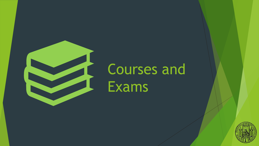

# Courses and Exams

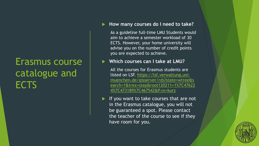# Erasmus course catalogue and **ECTS**

### **How many courses do I need to take?**

As a guideline full-time LMU Students would aim to achieve a semester workload of 30 ECTS. However, your home university will advise you on the number of credit points you are expected to achieve.

**Which courses can I take at LMU?**

All the courses for Erasmus students are listed on LSF. https://lsf.verwaltung.unimuenchen.de/qisserver/rds?state=wtree&s [earch=1&trex=step&root120211=1%7C47622](https://lsf.verwaltung.uni-muenchen.de/qisserver/rds?state=wtree&search=1&trex=step&root120211=1%7C476224%7C473189%7C467542&P.vx=kurz) 4%7C473189%7C467542&P.vx=kurz

If you want to take courses that are not in the Erasmus catalogue, you will not be guaranteed a spot. Please contact the teacher of the course to see if they have room for you.

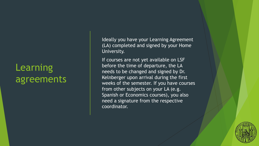# Learning agreements

Ideally you have your Learning Agreement (LA) completed and signed by your Home University.

If courses are not yet available on LSF before the time of departure, the LA needs to be changed and signed by Dr. Kelnberger upon arrival during the first weeks of the semester. If you have courses from other subjects on your LA (e.g. Spanish or Economics courses), you also need a signature from the respective coordinator.

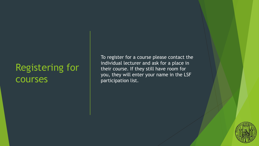## Registering for courses

To register for a course please contact the individual lecturer and ask for a place in their course. If they still have room for you, they will enter your name in the LSF participation list.

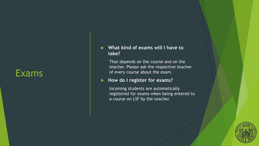### Exams

### **What kind of exams will I have to take?**

That depends on the course and on the teacher. Please ask the respective teacher of every course about the exam.

#### ▶ How do I register for exams?

Incoming students are automatically registered for exams when being entered to a course on LSF by the teacher.

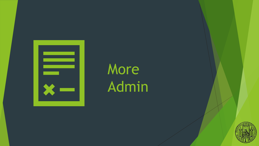

# More Admin

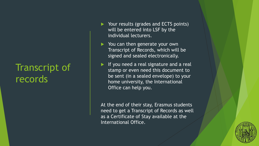# Transcript of records

- Your results (grades and ECTS points) will be entered into LSF by the individual lecturers.
- ▶ You can then generate your own Transcript of Records, which will be signed and sealed electronically.
- If you need a real signature and a real stamp or even need this document to be sent (in a sealed envelope) to your home university, the International Office can help you.

At the end of their stay, Erasmus students need to get a Transcript of Records as well as a Certificate of Stay available at the International Office.

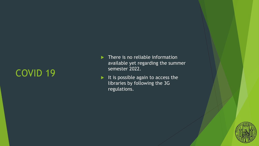# COVID 19

- $\blacktriangleright$  There is no reliable information available yet regarding the summer semester 2022.
- It is possible again to access the libraries by following the 3G regulations.